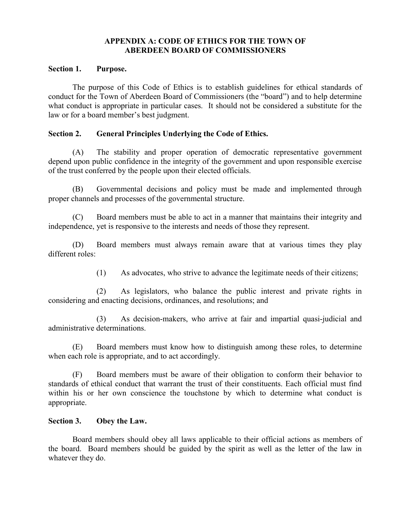# **APPENDIX A: CODE OF ETHICS FOR THE TOWN OF ABERDEEN BOARD OF COMMISSIONERS**

## **Section 1. Purpose.**

The purpose of this Code of Ethics is to establish guidelines for ethical standards of conduct for the Town of Aberdeen Board of Commissioners (the "board") and to help determine what conduct is appropriate in particular cases. It should not be considered a substitute for the law or for a board member's best judgment.

## **Section 2. General Principles Underlying the Code of Ethics.**

(A) The stability and proper operation of democratic representative government depend upon public confidence in the integrity of the government and upon responsible exercise of the trust conferred by the people upon their elected officials.

(B) Governmental decisions and policy must be made and implemented through proper channels and processes of the governmental structure.

(C) Board members must be able to act in a manner that maintains their integrity and independence, yet is responsive to the interests and needs of those they represent.

(D) Board members must always remain aware that at various times they play different roles:

(1) As advocates, who strive to advance the legitimate needs of their citizens;

(2) As legislators, who balance the public interest and private rights in considering and enacting decisions, ordinances, and resolutions; and

 $(3)$  As decision-makers, who arrive at fair and impartial quasi-judicial and administrative determinations.

(E) Board members must know how to distinguish among these roles, to determine when each role is appropriate, and to act accordingly.

(F) Board members must be aware of their obligation to conform their behavior to standards of ethical conduct that warrant the trust of their constituents. Each official must find within his or her own conscience the touchstone by which to determine what conduct is appropriate.

# **Section 3. Obey the Law.**

Board members should obey all laws applicable to their official actions as members of the board. Board members should be guided by the spirit as well as the letter of the law in whatever they do.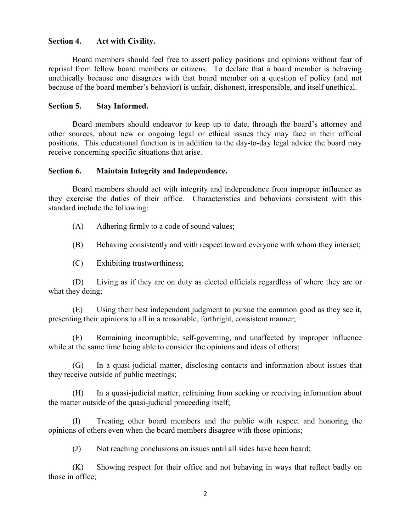#### **Section 4. Act with Civility.**

Board members should feel free to assert policy positions and opinions without fear of reprisal from fellow board members or citizens. To declare that a board member is behaving unethically because one disagrees with that board member on a question of policy (and not because of the board member's behavior) is unfair, dishonest, irresponsible, and itself unethical.

#### **Section 5. Stay Informed.**

Board members should endeavor to keep up to date, through the board's attorney and other sources, about new or ongoing legal or ethical issues they may face in their official positions. This educational function is in addition to the day-to-day legal advice the board may receive concerning specific situations that arise.

#### **Section 6. Maintain Integrity and Independence.**

Board members should act with integrity and independence from improper influence as they exercise the duties of their office. Characteristics and behaviors consistent with this standard include the following:

- (A) Adhering firmly to a code of sound values;
- (B) Behaving consistently and with respect toward everyone with whom they interact;
- (C) Exhibiting trustworthiness;

(D) Living as if they are on duty as elected officials regardless of where they are or what they doing;

(E) Using their best independent judgment to pursue the common good as they see it, presenting their opinions to all in a reasonable, forthright, consistent manner;

(F) Remaining incorruptible, self-governing, and unaffected by improper influence while at the same time being able to consider the opinions and ideas of others;

(G) In a quasi-judicial matter, disclosing contacts and information about issues that they receive outside of public meetings;

(H) In a quasi-judicial matter, refraining from seeking or receiving information about the matter outside of the quasi-judicial proceeding itself;

(I) Treating other board members and the public with respect and honoring the opinions of others even when the board members disagree with those opinions;

(J) Not reaching conclusions on issues until all sides have been heard;

(K) Showing respect for their office and not behaving in ways that reflect badly on those in office;

2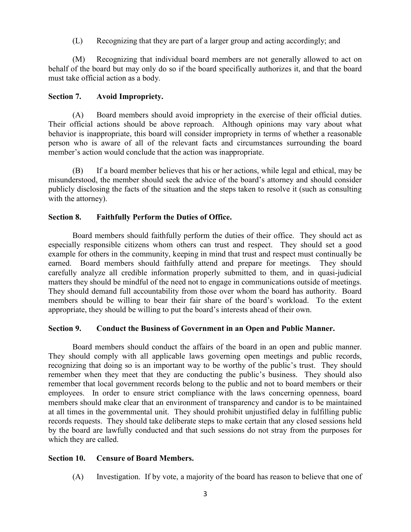(L) Recognizing that they are part of a larger group and acting accordingly; and

(M) Recognizing that individual board members are not generally allowed to act on behalf of the board but may only do so if the board specifically authorizes it, and that the board must take official action as a body.

# **Section 7. Avoid Impropriety.**

(A) Board members should avoid impropriety in the exercise of their official duties. Their official actions should be above reproach. Although opinions may vary about what behavior is inappropriate, this board will consider impropriety in terms of whether a reasonable person who is aware of all of the relevant facts and circumstances surrounding the board member's action would conclude that the action was inappropriate.

(B) If a board member believes that his or her actions, while legal and ethical, may be misunderstood, the member should seek the advice of the board's attorney and should consider publicly disclosing the facts of the situation and the steps taken to resolve it (such as consulting with the attorney).

# **Section 8. Faithfully Perform the Duties of Office.**

Board members should faithfully perform the duties of their office. They should act as especially responsible citizens whom others can trust and respect. They should set a good example for others in the community, keeping in mind that trust and respect must continually be earned. Board members should faithfully attend and prepare for meetings. They should carefully analyze all credible information properly submitted to them, and in quasi-judicial matters they should be mindful of the need not to engage in communications outside of meetings. They should demand full accountability from those over whom the board has authority. Board members should be willing to bear their fair share of the board's workload. To the extent appropriate, they should be willing to put the board's interests ahead of their own.

## **Section 9. Conduct the Business of Government in an Open and Public Manner.**

Board members should conduct the affairs of the board in an open and public manner. They should comply with all applicable laws governing open meetings and public records, recognizing that doing so is an important way to be worthy of the public's trust. They should remember when they meet that they are conducting the public's business. They should also remember that local government records belong to the public and not to board members or their employees. In order to ensure strict compliance with the laws concerning openness, board members should make clear that an environment of transparency and candor is to be maintained at all times in the governmental unit. They should prohibit unjustified delay in fulfilling public records requests. They should take deliberate steps to make certain that any closed sessions held by the board are lawfully conducted and that such sessions do not stray from the purposes for which they are called.

## **Section 10. Censure of Board Members.**

(A) Investigation. If by vote, a majority of the board has reason to believe that one of